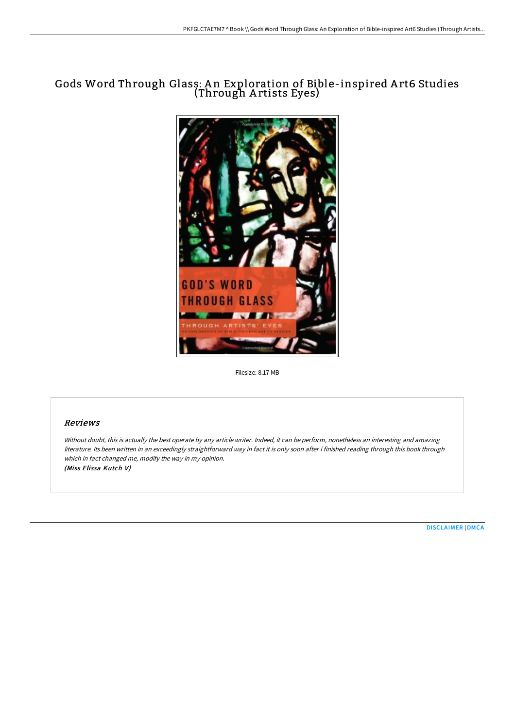# Gods Word Through Glass: A n Exploration of Bible-inspired A rt6 Studies (Through A rtists Eyes)



Filesize: 8.17 MB

## Reviews

Without doubt, this is actually the best operate by any article writer. Indeed, it can be perform, nonetheless an interesting and amazing literature. Its been written in an exceedingly straightforward way in fact it is only soon after i finished reading through this book through which in fact changed me, modify the way in my opinion. (Miss Elissa Kutch V)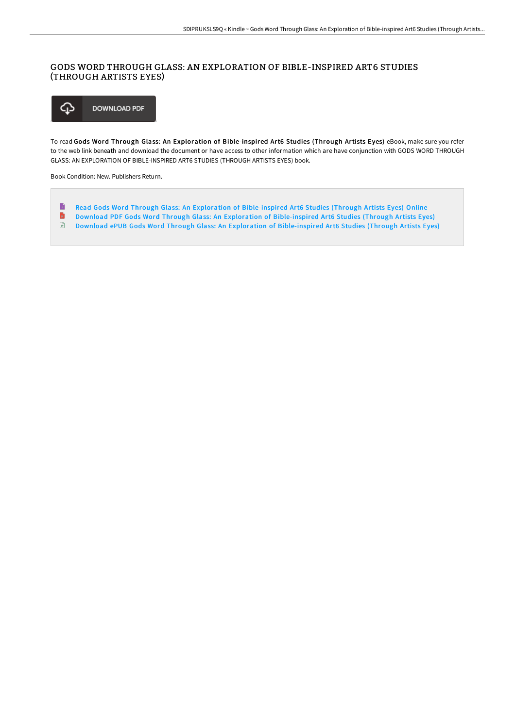### GODS WORD THROUGH GLASS: AN EXPLORATION OF BIBLE-INSPIRED ART6 STUDIES (THROUGH ARTISTS EYES)



To read Gods Word Through Glass: An Exploration of Bible-inspired Art6 Studies (Through Artists Eyes) eBook, make sure you refer to the web link beneath and download the document or have access to other information which are have conjunction with GODS WORD THROUGH GLASS: AN EXPLORATION OF BIBLE-INSPIRED ART6 STUDIES (THROUGH ARTISTS EYES) book.

Book Condition: New. Publishers Return.

- B Read Gods Word Through Glass: An Exploration of [Bible-inspired](http://www.bookdirs.com/gods-word-through-glass-an-exploration-of-bible-.html) Art6 Studies (Through Artists Eyes) Online  $\blacksquare$
- Download PDF Gods Word Through Glass: An Exploration of [Bible-inspired](http://www.bookdirs.com/gods-word-through-glass-an-exploration-of-bible-.html) Art6 Studies (Through Artists Eyes)
- Download ePUB Gods Word Through Glass: An Exploration of [Bible-inspired](http://www.bookdirs.com/gods-word-through-glass-an-exploration-of-bible-.html) Art6 Studies (Through Artists Eyes)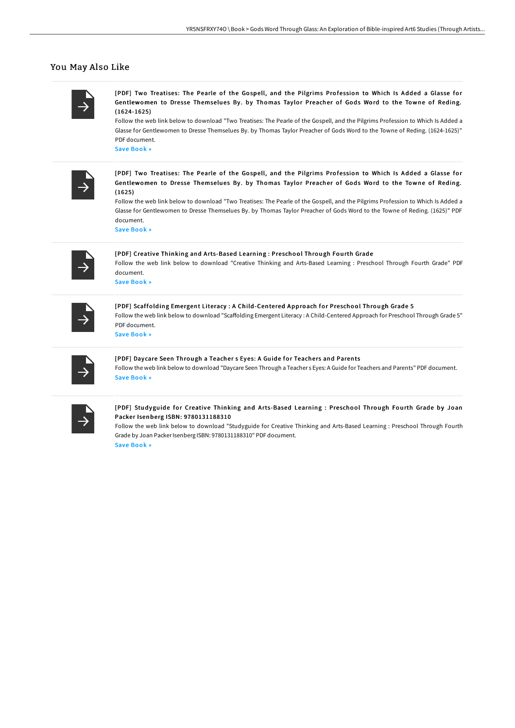#### You May Also Like

[PDF] Two Treatises: The Pearle of the Gospell, and the Pilgrims Profession to Which Is Added a Glasse for Gentlewomen to Dresse Themselues By. by Thomas Taylor Preacher of Gods Word to the Towne of Reding. (1624-1625)

Follow the web link below to download "Two Treatises: The Pearle of the Gospell, and the Pilgrims Profession to Which Is Added a Glasse for Gentlewomen to Dresse Themselues By. by Thomas Taylor Preacher of Gods Word to the Towne of Reding. (1624-1625)" PDF document.

Save [Book](http://www.bookdirs.com/two-treatises-the-pearle-of-the-gospell-and-the-.html) »

[PDF] Two Treatises: The Pearle of the Gospell, and the Pilgrims Prof ession to Which Is Added a Glasse for Gentlewomen to Dresse Themselues By. by Thomas Taylor Preacher of Gods Word to the Towne of Reding. (1625)

Follow the web link below to download "Two Treatises: The Pearle of the Gospell, and the Pilgrims Profession to Which Is Added a Glasse for Gentlewomen to Dresse Themselues By. by Thomas Taylor Preacher of Gods Word to the Towne of Reding. (1625)" PDF document.

Save [Book](http://www.bookdirs.com/two-treatises-the-pearle-of-the-gospell-and-the--1.html) »

[PDF] Creative Thinking and Arts-Based Learning : Preschool Through Fourth Grade Follow the web link below to download "Creative Thinking and Arts-Based Learning : Preschool Through Fourth Grade" PDF document. Save [Book](http://www.bookdirs.com/creative-thinking-and-arts-based-learning-presch.html) »

[PDF] Scaffolding Emergent Literacy : A Child-Centered Approach for Preschool Through Grade 5 Follow the web link below to download "Scaffolding Emergent Literacy : A Child-Centered Approach for Preschool Through Grade 5" PDF document. Save [Book](http://www.bookdirs.com/scaffolding-emergent-literacy-a-child-centered-a.html) »

# [PDF] Daycare Seen Through a Teacher s Eyes: A Guide for Teachers and Parents

Follow the web link below to download "Daycare Seen Through a Teacher s Eyes: A Guide for Teachers and Parents" PDF document. Save [Book](http://www.bookdirs.com/daycare-seen-through-a-teacher-s-eyes-a-guide-fo.html) »

#### [PDF] Studyguide for Creative Thinking and Arts-Based Learning : Preschool Through Fourth Grade by Joan Packer Isenberg ISBN: 9780131188310

Follow the web link below to download "Studyguide for Creative Thinking and Arts-Based Learning : Preschool Through Fourth Grade by Joan Packer Isenberg ISBN: 9780131188310" PDF document.

Save [Book](http://www.bookdirs.com/studyguide-for-creative-thinking-and-arts-based-.html) »